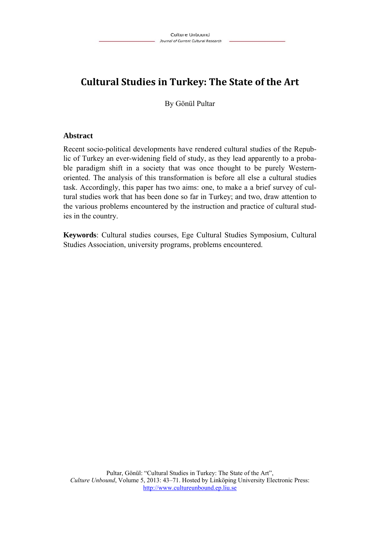# **Cultural Studies in Turkey: The State of the Art**

By Gönül Pultar

## **Abstract**

Recent socio-political developments have rendered cultural studies of the Republic of Turkey an ever-widening field of study, as they lead apparently to a probable paradigm shift in a society that was once thought to be purely Westernoriented. The analysis of this transformation is before all else a cultural studies task. Accordingly, this paper has two aims: one, to make a a brief survey of cultural studies work that has been done so far in Turkey; and two, draw attention to the various problems encountered by the instruction and practice of cultural studies in the country.

**Keywords**: Cultural studies courses, Ege Cultural Studies Symposium, Cultural Studies Association, university programs, problems encountered.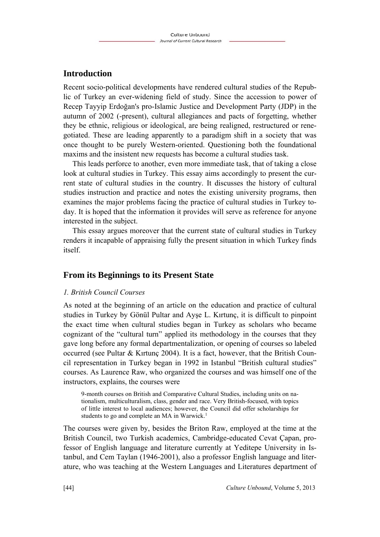# **Introduction**

Recent socio-political developments have rendered cultural studies of the Republic of Turkey an ever-widening field of study. Since the accession to power of Recep Tayyip Erdoğan's pro-Islamic Justice and Development Party (JDP) in the autumn of 2002 (-present), cultural allegiances and pacts of forgetting, whether they be ethnic, religious or ideological, are being realigned, restructured or renegotiated. These are leading apparently to a paradigm shift in a society that was once thought to be purely Western-oriented. Questioning both the foundational maxims and the insistent new requests has become a cultural studies task.

This leads perforce to another, even more immediate task, that of taking a close look at cultural studies in Turkey. This essay aims accordingly to present the current state of cultural studies in the country. It discusses the history of cultural studies instruction and practice and notes the existing university programs, then examines the major problems facing the practice of cultural studies in Turkey today. It is hoped that the information it provides will serve as reference for anyone interested in the subject.

This essay argues moreover that the current state of cultural studies in Turkey renders it incapable of appraising fully the present situation in which Turkey finds itself.

## **From its Beginnings to its Present State**

## *1. British Council Courses*

As noted at the beginning of an article on the education and practice of cultural studies in Turkey by Gönül Pultar and Ayşe L. Kırtunç, it is difficult to pinpoint the exact time when cultural studies began in Turkey as scholars who became cognizant of the "cultural turn" applied its methodology in the courses that they gave long before any formal departmentalization, or opening of courses so labeled occurred (see Pultar & Kırtunç 2004). It is a fact, however, that the British Council representation in Turkey began in 1992 in Istanbul "British cultural studies" courses. As Laurence Raw, who organized the courses and was himself one of the instructors, explains, the courses were

9-month courses on British and Comparative Cultural Studies, including units on nationalism, multiculturalism, class, gender and race. Very British-focused, with topics of little interest to local audiences; however, the Council did offer scholarships for students to go and complete an MA in Warwick.<sup>1</sup>

The courses were given by, besides the Briton Raw, employed at the time at the British Council, two Turkish academics, Cambridge-educated Cevat Çapan, professor of English language and literature currently at Yeditepe University in Istanbul, and Cem Taylan (1946-2001), also a professor English language and literature, who was teaching at the Western Languages and Literatures department of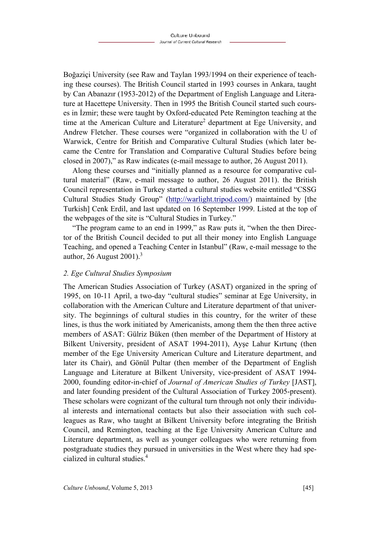Boğaziçi University (see Raw and Taylan 1993/1994 on their experience of teaching these courses). The British Council started in 1993 courses in Ankara, taught by Can Abanazır (1953-2012) of the Department of English Language and Literature at Hacettepe University. Then in 1995 the British Council started such courses in İzmir; these were taught by Oxford-educated Pete Remington teaching at the time at the American Culture and Literature<sup>2</sup> department at Ege University, and Andrew Fletcher. These courses were "organized in collaboration with the U of Warwick, Centre for British and Comparative Cultural Studies (which later became the Centre for Translation and Comparative Cultural Studies before being closed in 2007)," as Raw indicates (e-mail message to author, 26 August 2011).

Along these courses and "initially planned as a resource for comparative cultural material" (Raw, e-mail message to author, 26 August 2011). the British Council representation in Turkey started a cultural studies website entitled "CSSG Cultural Studies Study Group" (http://warlight.tripod.com/) maintained by [the Turkish] Cenk Erdil, and last updated on 16 September 1999. Listed at the top of the webpages of the site is "Cultural Studies in Turkey."

"The program came to an end in 1999," as Raw puts it, "when the then Director of the British Council decided to put all their money into English Language Teaching, and opened a Teaching Center in Istanbul" (Raw, e-mail message to the author, 26 August 2001).<sup>3</sup>

#### *2. Ege Cultural Studies Symposium*

The American Studies Association of Turkey (ASAT) organized in the spring of 1995, on 10-11 April, a two-day "cultural studies" seminar at Ege University, in collaboration with the American Culture and Literature department of that university. The beginnings of cultural studies in this country, for the writer of these lines, is thus the work initiated by Americanists, among them the then three active members of ASAT: Gülriz Büken (then member of the Department of History at Bilkent University, president of ASAT 1994-2011), Ayşe Lahur Kırtunç (then member of the Ege University American Culture and Literature department, and later its Chair), and Gönül Pultar (then member of the Department of English Language and Literature at Bilkent University, vice-president of ASAT 1994- 2000, founding editor-in-chief of *Journal of American Studies of Turkey* [JAST], and later founding president of the Cultural Association of Turkey 2005-present). These scholars were cognizant of the cultural turn through not only their individual interests and international contacts but also their association with such colleagues as Raw, who taught at Bilkent University before integrating the British Council, and Remington, teaching at the Ege University American Culture and Literature department, as well as younger colleagues who were returning from postgraduate studies they pursued in universities in the West where they had specialized in cultural studies.<sup>4</sup>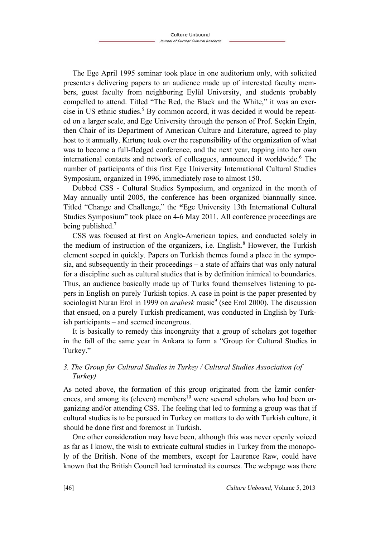The Ege April 1995 seminar took place in one auditorium only, with solicited presenters delivering papers to an audience made up of interested faculty members, guest faculty from neighboring Eylül University, and students probably compelled to attend. Titled "The Red, the Black and the White," it was an exercise in US ethnic studies.<sup>5</sup> By common accord, it was decided it would be repeated on a larger scale, and Ege University through the person of Prof. Seçkin Ergin, then Chair of its Department of American Culture and Literature, agreed to play host to it annually. Kırtunç took over the responsibility of the organization of what was to become a full-fledged conference, and the next year, tapping into her own international contacts and network of colleagues, announced it worldwide.<sup>6</sup> The number of participants of this first Ege University International Cultural Studies Symposium, organized in 1996, immediately rose to almost 150.

Dubbed CSS - Cultural Studies Symposium, and organized in the month of May annually until 2005, the conference has been organized biannually since. Titled "Change and Challenge," the **"**Ege University 13th International Cultural Studies Symposium" took place on 4-6 May 2011. All conference proceedings are being published.7 

CSS was focused at first on Anglo-American topics, and conducted solely in the medium of instruction of the organizers, i.e. English.<sup>8</sup> However, the Turkish element seeped in quickly. Papers on Turkish themes found a place in the symposia, and subsequently in their proceedings – a state of affairs that was only natural for a discipline such as cultural studies that is by definition inimical to boundaries. Thus, an audience basically made up of Turks found themselves listening to papers in English on purely Turkish topics. A case in point is the paper presented by sociologist Nuran Erol in 1999 on *arabesk* music<sup>9</sup> (see Erol 2000). The discussion that ensued, on a purely Turkish predicament, was conducted in English by Turkish participants – and seemed incongrous.

It is basically to remedy this incongruity that a group of scholars got together in the fall of the same year in Ankara to form a "Group for Cultural Studies in Turkey."

## *3. The Group for Cultural Studies in Turkey / Cultural Studies Association (of Turkey)*

As noted above, the formation of this group originated from the İzmir conferences, and among its (eleven) members<sup>10</sup> were several scholars who had been organizing and/or attending CSS. The feeling that led to forming a group was that if cultural studies is to be pursued in Turkey on matters to do with Turkish culture, it should be done first and foremost in Turkish.

One other consideration may have been, although this was never openly voiced as far as I know, the wish to extricate cultural studies in Turkey from the monopoly of the British. None of the members, except for Laurence Raw, could have known that the British Council had terminated its courses. The webpage was there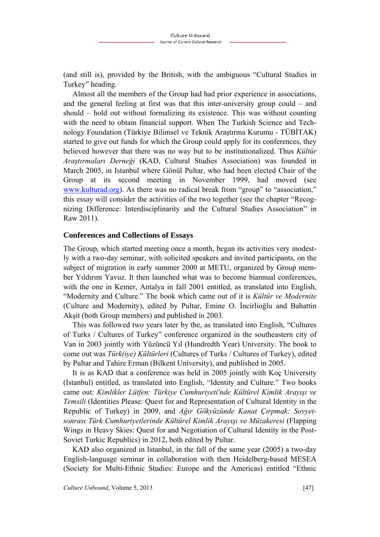(and still is), provided by the British, with the ambiguous "Cultural Studies in Turkey" heading.

Almost all the members of the Group had had prior experience in associations, and the general feeling at first was that this inter-university group could – and should – hold out without formalizing its existence. This was without counting with the need to obtain financial support. When The Turkish Science and Technology Foundation (Türkiye Bilimsel ve Teknik Araştırma Kurumu - TÜBİTAK) started to give out funds for which the Group could apply for its conferences, they believed however that there was no way but to be institutionalized. Thus *Kültür Araştırmaları Derneği* (KAD, Cultural Studies Association) was founded in March 2005, in Istanbul where Gönül Pultar, who had been elected Chair of the Group at its second meeting in November 1999, had moved (see www.kulturad.org). As there was no radical break from "group" to "association," this essay will consider the activities of the two together (see the chapter "Recognizing Difference: Interdisciplinarity and the Cultural Studies Association" in Raw 2011).

#### **Conferences and Collections of Essays**

The Group, which started meeting once a month, began its activities very modestly with a two-day seminar, with solicited speakers and invited participants, on the subject of migration in early summer 2000 at METU, organized by Group member Yıldırım Yavuz. It then launched what was to become biannual conferences, with the one in Kemer, Antalya in fall 2001 entitled, as translated into English, "Modernity and Culture." The book which came out of it is *Kültür ve Modernite* (Culture and Modernity), edited by Pultar, Emine O. İncirlioğlu and Bahattin Akşit (both Group members) and published in 2003.

This was followed two years later by the, as translated into English, "Cultures of Turks / Cultures of Turkey" conference organized in the southeastern city of Van in 2003 jointly with Yüzüncü Yıl (Hundredth Year) University. The book to come out was *Türk(iye) Kültürleri* (Cultures of Turks / Cultures of Turkey), edited by Pultar and Tahire Erman (Bilkent University), and published in 2005.

It is as KAD that a conference was held in 2005 jointly with Koç University (Istanbul) entitled, as translated into English, "Identity and Culture." Two books came out: *Kimlikler Lütfen: Türkiye Cumhuriyeti'nde Kültürel Kimlik Arayışı ve Temsili* (Identities Please: Quest for and Representation of Cultural Identity in the Republic of Turkey) in 2009, and *Ağır Gökyüzünde Kanat Çırpmak: Sovyetsonrası Türk Cumhuriyetlerinde Kültürel Kimlik Arayışı ve Müzakeresi* (Flapping Wings in Heavy Skies: Quest for and Negotiation of Cultural Identity in the Post-Soviet Turkic Republics) in 2012, both edited by Pultar.

KAD also organized in Istanbul, in the fall of the same year (2005) a two-day English-language seminar in collaboration with then Heidelberg-based MESEA (Society for Multi-Ethnic Studies: Europe and the Americas) entitled "Ethnic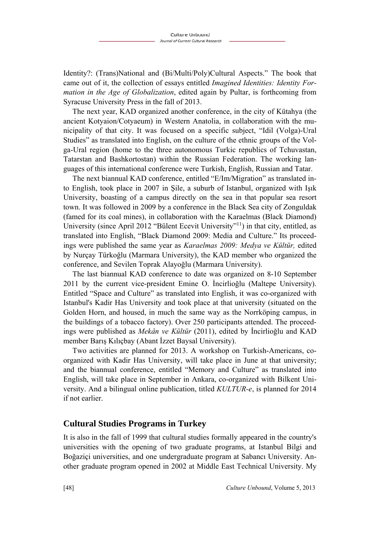Identity?: (Trans)National and (Bi/Multi/Poly)Cultural Aspects." The book that came out of it, the collection of essays entitled *Imagined Identities: Identity Formation in the Age of Globalization*, edited again by Pultar, is forthcoming from Syracuse University Press in the fall of 2013.

The next year, KAD organized another conference, in the city of Kütahya (the ancient Kotyaion/Cotyaeum) in Western Anatolia, in collaboration with the municipality of that city. It was focused on a specific subject, "Idil (Volga)-Ural Studies" as translated into English, on the culture of the ethnic groups of the Volga-Ural region (home to the three autonomous Turkic republics of Tchuvastan, Tatarstan and Bashkortostan) within the Russian Federation. The working languages of this international conference were Turkish, English, Russian and Tatar.

The next biannual KAD conference, entitled "E/Im/Migration" as translated into English, took place in 2007 in Şile, a suburb of Istanbul, organized with Işık University, boasting of a campus directly on the sea in that popular sea resort town. It was followed in 2009 by a conference in the Black Sea city of Zonguldak (famed for its coal mines), in collaboration with the Karaelmas (Black Diamond) University (since April 2012 "Bülent Ecevit University"<sup>11</sup>) in that city, entitled, as translated into English, "Black Diamond 2009: Media and Culture." Its proceedings were published the same year as *Karaelmas 2009: Medya ve Kültür,* edited by Nurçay Türkoğlu (Marmara University), the KAD member who organized the conference, and Sevilen Toprak Alayoğlu (Marmara University).

The last biannual KAD conference to date was organized on 8-10 September 2011 by the current vice-president Emine O. İncirlioğlu (Maltepe University). Entitled "Space and Culture" as translated into English, it was co-organized with Istanbul's Kadir Has University and took place at that university (situated on the Golden Horn, and housed, in much the same way as the Norrköping campus, in the buildings of a tobacco factory). Over 250 participants attended. The proceedings were published as *Mekân ve Kültür* (2011), edited by İncirlioğlu and KAD member Barış Kılıçbay (Abant İzzet Baysal University).

Two activities are planned for 2013. A workshop on Turkish-Americans, coorganized with Kadir Has University, will take place in June at that university; and the biannual conference, entitled "Memory and Culture" as translated into English, will take place in September in Ankara, co-organized with Bilkent University. And a bilingual online publication, titled *KULTUR-e*, is planned for 2014 if not earlier.

## **Cultural Studies Programs in Turkey**

It is also in the fall of 1999 that cultural studies formally appeared in the country's universities with the opening of two graduate programs, at Istanbul Bilgi and Boğaziçi universities, and one undergraduate program at Sabancı University. Another graduate program opened in 2002 at Middle East Technical University. My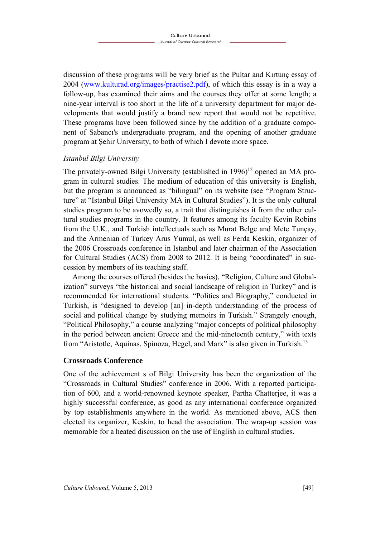discussion of these programs will be very brief as the Pultar and Kırtunç essay of 2004 (www.kulturad.org/images/practise2.pdf), of which this essay is in a way a follow-up, has examined their aims and the courses they offer at some length; a nine-year interval is too short in the life of a university department for major developments that would justify a brand new report that would not be repetitive. These programs have been followed since by the addition of a graduate component of Sabancı's undergraduate program, and the opening of another graduate program at Şehir University, to both of which I devote more space.

## *Istanbul Bilgi University*

The privately-owned Bilgi University (established in  $1996$ )<sup>12</sup> opened an MA program in cultural studies. The medium of education of this university is English, but the program is announced as "bilingual" on its website (see "Program Structure" at "Istanbul Bilgi University MA in Cultural Studies"). It is the only cultural studies program to be avowedly so, a trait that distinguishes it from the other cultural studies programs in the country. It features among its faculty Kevin Robins from the U.K., and Turkish intellectuals such as Murat Belge and Mete Tunçay, and the Armenian of Turkey Arus Yumul, as well as Ferda Keskin, organizer of the 2006 Crossroads conference in Istanbul and later chairman of the Association for Cultural Studies (ACS) from 2008 to 2012. It is being "coordinated" in succession by members of its teaching staff.

Among the courses offered (besides the basics), "Religion, Culture and Globalization" surveys "the historical and social landscape of religion in Turkey" and is recommended for international students. "Politics and Biography," conducted in Turkish, is "designed to develop [an] in-depth understanding of the process of social and political change by studying memoirs in Turkish." Strangely enough, "Political Philosophy," a course analyzing "major concepts of political philosophy in the period between ancient Greece and the mid-nineteenth century," with texts from "Aristotle, Aquinas, Spinoza, Hegel, and Marx" is also given in Turkish.<sup>13</sup>

## **Crossroads Conference**

One of the achievement s of Bilgi University has been the organization of the "Crossroads in Cultural Studies" conference in 2006. With a reported participation of 600, and a world-renowned keynote speaker, Partha Chatterjee, it was a highly successful conference, as good as any international conference organized by top establishments anywhere in the world. As mentioned above, ACS then elected its organizer, Keskin, to head the association. The wrap-up session was memorable for a heated discussion on the use of English in cultural studies.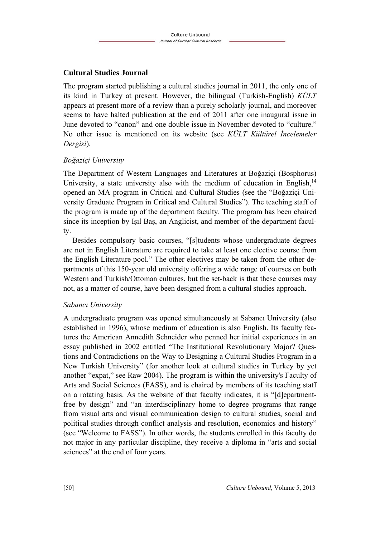## **Cultural Studies Journal**

The program started publishing a cultural studies journal in 2011, the only one of its kind in Turkey at present. However, the bilingual (Turkish-English) *KÜLT* appears at present more of a review than a purely scholarly journal, and moreover seems to have halted publication at the end of 2011 after one inaugural issue in June devoted to "canon" and one double issue in November devoted to "culture." No other issue is mentioned on its website (see *KÜLT Kültürel İncelemeler Dergisi*).

## *Boğaziçi University*

The Department of Western Languages and Literatures at Boğaziçi (Bosphorus) University, a state university also with the medium of education in English, $<sup>14</sup>$ </sup> opened an MA program in Critical and Cultural Studies (see the "Boğaziçi University Graduate Program in Critical and Cultural Studies"). The teaching staff of the program is made up of the department faculty. The program has been chaired since its inception by Işıl Baş, an Anglicist, and member of the department faculty.

Besides compulsory basic courses, "[s]tudents whose undergraduate degrees are not in English Literature are required to take at least one elective course from the English Literature pool." The other electives may be taken from the other departments of this 150-year old university offering a wide range of courses on both Western and Turkish/Ottoman cultures, but the set-back is that these courses may not, as a matter of course, have been designed from a cultural studies approach.

## *Sabancı University*

A undergraduate program was opened simultaneously at Sabancı University (also established in 1996), whose medium of education is also English. Its faculty features the American Annedith Schneider who penned her initial experiences in an essay published in 2002 entitled "The Institutional Revolutionary Major? Questions and Contradictions on the Way to Designing a Cultural Studies Program in a New Turkish University" (for another look at cultural studies in Turkey by yet another "expat," see Raw 2004). The program is within the university's Faculty of Arts and Social Sciences (FASS), and is chaired by members of its teaching staff on a rotating basis. As the website of that faculty indicates, it is "[d]epartmentfree by design" and "an interdisciplinary home to degree programs that range from visual arts and visual communication design to cultural studies, social and political studies through conflict analysis and resolution, economics and history" (see "Welcome to FASS"). In other words, the students enrolled in this faculty do not major in any particular discipline, they receive a diploma in "arts and social sciences" at the end of four years.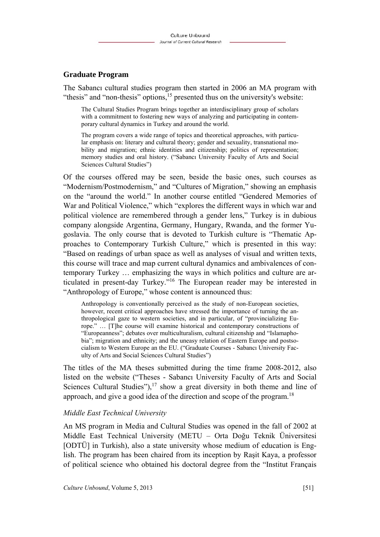## **Graduate Program**

The Sabancı cultural studies program then started in 2006 an MA program with "thesis" and "non-thesis" options,  $15$  presented thus on the university's website:

The Cultural Studies Program brings together an interdisciplinary group of scholars with a commitment to fostering new ways of analyzing and participating in contemporary cultural dynamics in Turkey and around the world.

The program covers a wide range of topics and theoretical approaches, with particular emphasis on: literary and cultural theory; gender and sexuality, transnational mobility and migration; ethnic identities and citizenship; politics of representation; memory studies and oral history. ("Sabancı University Faculty of Arts and Social Sciences Cultural Studies")

Of the courses offered may be seen, beside the basic ones, such courses as "Modernism/Postmodernism," and "Cultures of Migration," showing an emphasis on the "around the world." In another course entitled "Gendered Memories of War and Political Violence," which "explores the different ways in which war and political violence are remembered through a gender lens," Turkey is in dubious company alongside Argentina, Germany, Hungary, Rwanda, and the former Yugoslavia. The only course that is devoted to Turkish culture is "Thematic Approaches to Contemporary Turkish Culture," which is presented in this way: "Based on readings of urban space as well as analyses of visual and written texts, this course will trace and map current cultural dynamics and ambivalences of contemporary Turkey … emphasizing the ways in which politics and culture are articulated in present-day Turkey."16 The European reader may be interested in "Anthropology of Europe," whose content is announced thus:

Anthropology is conventionally perceived as the study of non-European societies, however, recent critical approaches have stressed the importance of turning the anthropological gaze to western societies, and in particular, of "provincializing Europe." … [T]he course will examine historical and contemporary constructions of "Europeanness"; debates over multiculturalism, cultural citizenship and "Islamaphobia"; migration and ethnicity; and the uneasy relation of Eastern Europe and postsocialism to Western Europe an the EU. ("Graduate Courses - Sabancı University Faculty of Arts and Social Sciences Cultural Studies")

The titles of the MA theses submitted during the time frame 2008-2012, also listed on the website ("Theses - Sabancı University Faculty of Arts and Social Sciences Cultural Studies"), $17 \text{ show a great diversity in both theme and line of }$ approach, and give a good idea of the direction and scope of the program.<sup>18</sup>

#### *Middle East Technical University*

An MS program in Media and Cultural Studies was opened in the fall of 2002 at Middle East Technical University (METU – Orta Doğu Teknik Üniversitesi [ODTÜ] in Turkish), also a state university whose medium of education is English. The program has been chaired from its inception by Raşit Kaya, a professor of political science who obtained his doctoral degree from the "Institut Français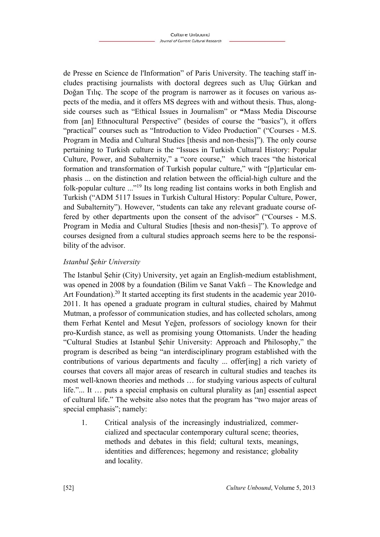de Presse en Science de l'Information" of Paris University. The teaching staff includes practising journalists with doctoral degrees such as Uluç Gürkan and Doğan Tılıç. The scope of the program is narrower as it focuses on various aspects of the media, and it offers MS degrees with and without thesis. Thus, alongside courses such as "Ethical Issues in Journalism" or **"**Mass Media Discourse from [an] Ethnocultural Perspective" (besides of course the "basics"), it offers "practical" courses such as "Introduction to Video Production" ("Courses - M.S. Program in Media and Cultural Studies [thesis and non-thesis]"). The only course pertaining to Turkish culture is the "Issues in Turkish Cultural History: Popular Culture, Power, and Subalternity," a "core course," which traces "the historical formation and transformation of Turkish popular culture," with "[p]articular emphasis ... on the distinction and relation between the official-high culture and the folk-popular culture ..."19 Its long reading list contains works in both English and Turkish ("ADM 5117 Issues in Turkish Cultural History: Popular Culture, Power, and Subalternity"). However, "students can take any relevant graduate course offered by other departments upon the consent of the advisor" ("Courses - M.S. Program in Media and Cultural Studies [thesis and non-thesis]"). To approve of courses designed from a cultural studies approach seems here to be the responsibility of the advisor.

## *Istanbul Şehir University*

The Istanbul Şehir (City) University, yet again an English-medium establishment, was opened in 2008 by a foundation (Bilim ve Sanat Vakfı – The Knowledge and Art Foundation).<sup>20</sup> It started accepting its first students in the academic year 2010-2011. It has opened a graduate program in cultural studies, chaired by Mahmut Mutman, a professor of communication studies, and has collected scholars, among them Ferhat Kentel and Mesut Yeğen, professors of sociology known for their pro-Kurdish stance, as well as promising young Ottomanists. Under the heading "Cultural Studies at Istanbul Şehir University: Approach and Philosophy," the program is described as being "an interdisciplinary program established with the contributions of various departments and faculty ... offer[ing] a rich variety of courses that covers all major areas of research in cultural studies and teaches its most well-known theories and methods … for studying various aspects of cultural life."... It … puts a special emphasis on cultural plurality as [an] essential aspect of cultural life." The website also notes that the program has "two major areas of special emphasis"; namely:

1. Critical analysis of the increasingly industrialized, commercialized and spectacular contemporary cultural scene; theories, methods and debates in this field; cultural texts, meanings, identities and differences; hegemony and resistance; globality and locality.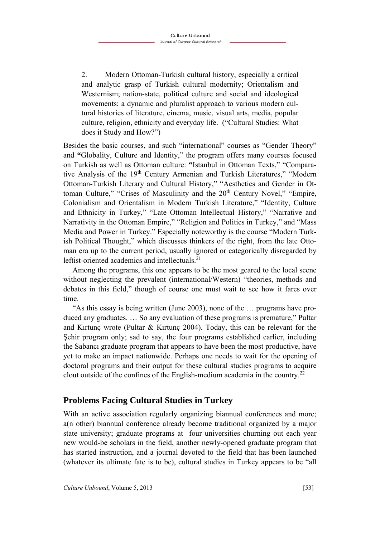2. Modern Ottoman-Turkish cultural history, especially a critical and analytic grasp of Turkish cultural modernity; Orientalism and Westernism; nation-state, political culture and social and ideological movements; a dynamic and pluralist approach to various modern cultural histories of literature, cinema, music, visual arts, media, popular culture, religion, ethnicity and everyday life. ("Cultural Studies: What does it Study and How?")

Besides the basic courses, and such "international" courses as "Gender Theory" and **"**Globality, Culture and Identity," the program offers many courses focused on Turkish as well as Ottoman culture: **"**Istanbul in Ottoman Texts," "Comparative Analysis of the 19<sup>th</sup> Century Armenian and Turkish Literatures," "Modern Ottoman-Turkish Literary and Cultural History," "Aesthetics and Gender in Ottoman Culture," "Crises of Masculinity and the 20<sup>th</sup> Century Novel," "Empire, Colonialism and Orientalism in Modern Turkish Literature," "Identity, Culture and Ethnicity in Turkey," "Late Ottoman Intellectual History," "Narrative and Narrativity in the Ottoman Empire," "Religion and Politics in Turkey," and "Mass Media and Power in Turkey." Especially noteworthy is the course "Modern Turkish Political Thought," which discusses thinkers of the right, from the late Ottoman era up to the current period, usually ignored or categorically disregarded by leftist-oriented academics and intellectuals.<sup>21</sup>

Among the programs, this one appears to be the most geared to the local scene without neglecting the prevalent (international/Western) "theories, methods and debates in this field," though of course one must wait to see how it fares over time.

"As this essay is being written (June 2003), none of the … programs have produced any graduates. … So any evaluation of these programs is premature," Pultar and Kırtunç wrote (Pultar & Kırtunç 2004). Today, this can be relevant for the Şehir program only; sad to say, the four programs established earlier, including the Sabancı graduate program that appears to have been the most productive, have yet to make an impact nationwide. Perhaps one needs to wait for the opening of doctoral programs and their output for these cultural studies programs to acquire clout outside of the confines of the English-medium academia in the country.22

# **Problems Facing Cultural Studies in Turkey**

With an active association regularly organizing biannual conferences and more; a(n other) biannual conference already become traditional organized by a major state university; graduate programs at four universities churning out each year new would-be scholars in the field, another newly-opened graduate program that has started instruction, and a journal devoted to the field that has been launched (whatever its ultimate fate is to be), cultural studies in Turkey appears to be "all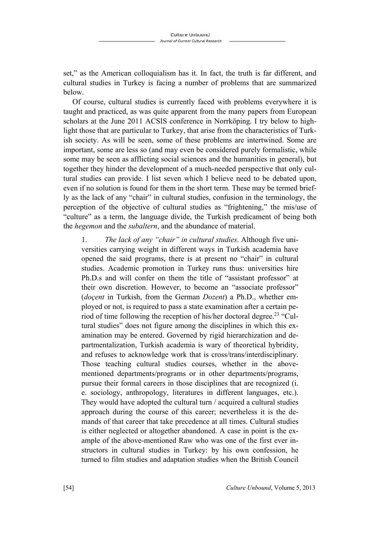set," as the American colloquialism has it. In fact, the truth is far different, and cultural studies in Turkey is facing a number of problems that are summarized below.

Of course, cultural studies is currently faced with problems everywhere it is taught and practiced, as was quite apparent from the many papers from European scholars at the June 2011 ACSIS conference in Norrköping. I try below to highlight those that are particular to Turkey, that arise from the characteristics of Turkish society. As will be seen, some of these problems are intertwined. Some are important, some are less so (and may even be considered purely formalistic, while some may be seen as afflicting social sciences and the humanities in general), but together they hinder the development of a much-needed perspective that only cultural studies can provide. I list seven which I believe need to be debated upon, even if no solution is found for them in the short term. These may be termed briefly as the lack of any "chair" in cultural studies, confusion in the terminology, the perception of the objective of cultural studies as "frightening," the mis/use of "culture" as a term, the language divide, the Turkish predicament of being both the *hegemon* and the *subaltern*, and the abundance of material.

1. *The lack of any "chair" in cultural studies*. Although five universities carrying weight in different ways in Turkish academia have opened the said programs, there is at present no "chair" in cultural studies. Academic promotion in Turkey runs thus: universities hire Ph.D.s and will confer on them the title of "assistant professor" at their own discretion. However, to become an "associate professor" (*doçent* in Turkish, from the German *Dozent*) a Ph.D., whether employed or not, is required to pass a state examination after a certain period of time following the reception of his/her doctoral degree.<sup>23</sup> "Cultural studies" does not figure among the disciplines in which this examination may be entered. Governed by rigid hierarchization and departmentalization, Turkish academia is wary of theoretical hybridity, and refuses to acknowledge work that is cross/trans/interdisciplinary. Those teaching cultural studies courses, whether in the abovementioned departments/programs or in other departments/programs, pursue their formal careers in those disciplines that are recognized (i. e. sociology, anthropology, literatures in different languages, etc.). They would have adopted the cultural turn / acquired a cultural studies approach during the course of this career; nevertheless it is the demands of that career that take precedence at all times. Cultural studies is either neglected or altogether abandoned. A case in point is the example of the above-mentioned Raw who was one of the first ever instructors in cultural studies in Turkey: by his own confession, he turned to film studies and adaptation studies when the British Council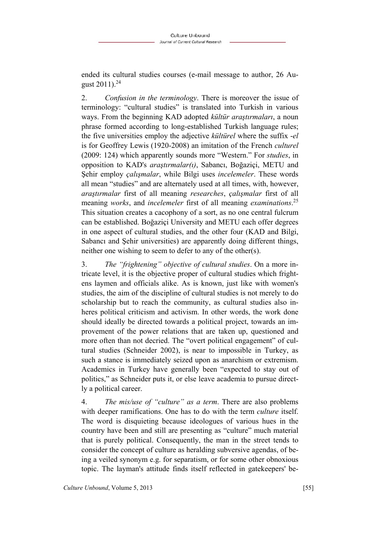ended its cultural studies courses (e-mail message to author, 26 August  $2011$ ).<sup>24</sup>

2. *Confusion in the terminology*. There is moreover the issue of terminology: "cultural studies" is translated into Turkish in various ways. From the beginning KAD adopted *kültür araştırmaları*, a noun phrase formed according to long-established Turkish language rules; the five universities employ the adjective *kültürel* where the suffix -*el* is for Geoffrey Lewis (1920-2008) an imitation of the French *culturel* (2009: 124) which apparently sounds more "Western." For *studies*, in opposition to KAD's *araştırmalar(ı)*, Sabancı, Boğaziçi, METU and Şehir employ *çalışmalar*, while Bilgi uses *incelemeler*. These words all mean "studies" and are alternately used at all times, with, however, *araştırmalar* first of all meaning *researches*, *çalışmalar* first of all meaning *works*, and *incelemeler* first of all meaning *examinations*. 25 This situation creates a cacophony of a sort, as no one central fulcrum can be established. Boğaziçi University and METU each offer degrees in one aspect of cultural studies, and the other four (KAD and Bilgi, Sabancı and Şehir universities) are apparently doing different things, neither one wishing to seem to defer to any of the other(s).

3. *The "frightening" objective of cultural studies*. On a more intricate level, it is the objective proper of cultural studies which frightens laymen and officials alike. As is known, just like with women's studies, the aim of the discipline of cultural studies is not merely to do scholarship but to reach the community, as cultural studies also inheres political criticism and activism. In other words, the work done should ideally be directed towards a political project, towards an improvement of the power relations that are taken up, questioned and more often than not decried. The "overt political engagement" of cultural studies (Schneider 2002), is near to impossible in Turkey, as such a stance is immediately seized upon as anarchism or extremism. Academics in Turkey have generally been "expected to stay out of politics," as Schneider puts it, or else leave academia to pursue directly a political career.

4. *The mis/use of "culture" as a term*. There are also problems with deeper ramifications. One has to do with the term *culture* itself. The word is disquieting because ideologues of various hues in the country have been and still are presenting as "culture" much material that is purely political. Consequently, the man in the street tends to consider the concept of culture as heralding subversive agendas, of being a veiled synonym e.g. for separatism, or for some other obnoxious topic. The layman's attitude finds itself reflected in gatekeepers' be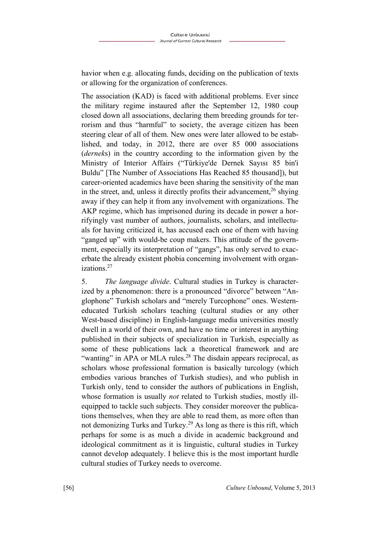havior when e.g. allocating funds, deciding on the publication of texts or allowing for the organization of conferences.

The association (KAD) is faced with additional problems. Ever since the military regime instaured after the September 12, 1980 coup closed down all associations, declaring them breeding grounds for terrorism and thus "harmful" to society, the average citizen has been steering clear of all of them. New ones were later allowed to be established, and today, in 2012, there are over 85 000 associations (*dernek*s) in the country according to the information given by the Ministry of Interior Affairs ("Türkiye'de Dernek Sayısı 85 bin'i Buldu" [The Number of Associations Has Reached 85 thousand]), but career-oriented academics have been sharing the sensitivity of the man in the street, and, unless it directly profits their advancement,  $26$  shying away if they can help it from any involvement with organizations. The AKP regime, which has imprisoned during its decade in power a horrifyingly vast number of authors, journalists, scholars, and intellectuals for having criticized it, has accused each one of them with having "ganged up" with would-be coup makers. This attitude of the government, especially its interpretation of "gangs", has only served to exacerbate the already existent phobia concerning involvement with organizations.27

5. *The language divide*. Cultural studies in Turkey is characterized by a phenomenon: there is a pronounced "divorce" between "Anglophone" Turkish scholars and "merely Turcophone" ones. Westerneducated Turkish scholars teaching (cultural studies or any other West-based discipline) in English-language media universities mostly dwell in a world of their own, and have no time or interest in anything published in their subjects of specialization in Turkish, especially as some of these publications lack a theoretical framework and are "wanting" in APA or MLA rules.<sup>28</sup> The disdain appears reciprocal, as scholars whose professional formation is basically turcology (which embodies various branches of Turkish studies), and who publish in Turkish only, tend to consider the authors of publications in English, whose formation is usually *not* related to Turkish studies, mostly illequipped to tackle such subjects. They consider moreover the publications themselves, when they are able to read them, as more often than not demonizing Turks and Turkey.<sup>29</sup> As long as there is this rift, which perhaps for some is as much a divide in academic background and ideological commitment as it is linguistic, cultural studies in Turkey cannot develop adequately. I believe this is the most important hurdle cultural studies of Turkey needs to overcome.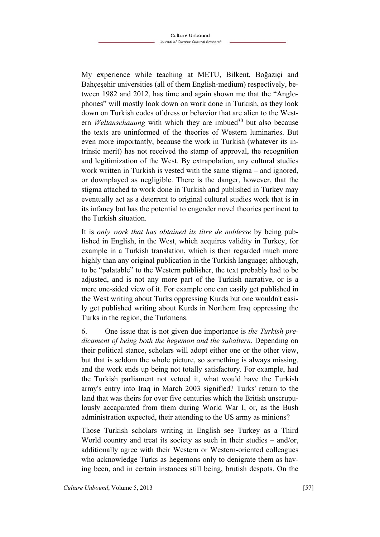My experience while teaching at METU, Bilkent, Boğaziçi and Bahçeşehir universities (all of them English-medium) respectively, between 1982 and 2012, has time and again shown me that the "Anglophones" will mostly look down on work done in Turkish, as they look down on Turkish codes of dress or behavior that are alien to the Western *Weltanschauung* with which they are imbued<sup>30</sup> but also because the texts are uninformed of the theories of Western luminaries. But even more importantly, because the work in Turkish (whatever its intrinsic merit) has not received the stamp of approval, the recognition and legitimization of the West. By extrapolation, any cultural studies work written in Turkish is vested with the same stigma – and ignored, or downplayed as negligible. There is the danger, however, that the stigma attached to work done in Turkish and published in Turkey may eventually act as a deterrent to original cultural studies work that is in its infancy but has the potential to engender novel theories pertinent to the Turkish situation.

It is *only work that has obtained its titre de noblesse* by being published in English, in the West, which acquires validity in Turkey, for example in a Turkish translation, which is then regarded much more highly than any original publication in the Turkish language; although, to be "palatable" to the Western publisher, the text probably had to be adjusted, and is not any more part of the Turkish narrative, or is a mere one-sided view of it. For example one can easily get published in the West writing about Turks oppressing Kurds but one wouldn't easily get published writing about Kurds in Northern Iraq oppressing the Turks in the region, the Turkmens.

6. One issue that is not given due importance is *the Turkish predicament of being both the hegemon and the subaltern*. Depending on their political stance, scholars will adopt either one or the other view, but that is seldom the whole picture, so something is always missing, and the work ends up being not totally satisfactory. For example, had the Turkish parliament not vetoed it, what would have the Turkish army's entry into Iraq in March 2003 signified? Turks' return to the land that was theirs for over five centuries which the British unscrupulously accaparated from them during World War I, or, as the Bush administration expected, their attending to the US army as minions?

Those Turkish scholars writing in English see Turkey as a Third World country and treat its society as such in their studies – and/or, additionally agree with their Western or Western-oriented colleagues who acknowledge Turks as hegemons only to denigrate them as having been, and in certain instances still being, brutish despots. On the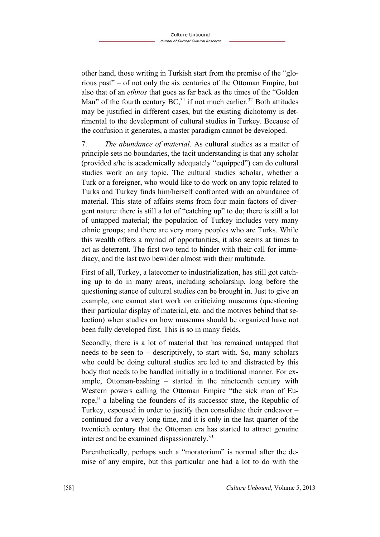other hand, those writing in Turkish start from the premise of the "glorious past" – of not only the six centuries of the Ottoman Empire, but also that of an *ethnos* that goes as far back as the times of the "Golden Man" of the fourth century  $BC<sub>31</sub><sup>31</sup>$  if not much earlier.<sup>32</sup> Both attitudes may be justified in different cases, but the existing dichotomy is detrimental to the development of cultural studies in Turkey. Because of the confusion it generates, a master paradigm cannot be developed.

7. *The abundance of material*. As cultural studies as a matter of principle sets no boundaries, the tacit understanding is that any scholar (provided s/he is academically adequately "equipped") can do cultural studies work on any topic. The cultural studies scholar, whether a Turk or a foreigner, who would like to do work on any topic related to Turks and Turkey finds him/herself confronted with an abundance of material. This state of affairs stems from four main factors of divergent nature: there is still a lot of "catching up" to do; there is still a lot of untapped material; the population of Turkey includes very many ethnic groups; and there are very many peoples who are Turks. While this wealth offers a myriad of opportunities, it also seems at times to act as deterrent. The first two tend to hinder with their call for immediacy, and the last two bewilder almost with their multitude.

First of all, Turkey, a latecomer to industrialization, has still got catching up to do in many areas, including scholarship, long before the questioning stance of cultural studies can be brought in. Just to give an example, one cannot start work on criticizing museums (questioning their particular display of material, etc. and the motives behind that selection) when studies on how museums should be organized have not been fully developed first. This is so in many fields.

Secondly, there is a lot of material that has remained untapped that needs to be seen to – descriptively, to start with. So, many scholars who could be doing cultural studies are led to and distracted by this body that needs to be handled initially in a traditional manner. For example, Ottoman-bashing – started in the nineteenth century with Western powers calling the Ottoman Empire "the sick man of Europe," a labeling the founders of its successor state, the Republic of Turkey, espoused in order to justify then consolidate their endeavor – continued for a very long time, and it is only in the last quarter of the twentieth century that the Ottoman era has started to attract genuine interest and be examined dispassionately.33

Parenthetically, perhaps such a "moratorium" is normal after the demise of any empire, but this particular one had a lot to do with the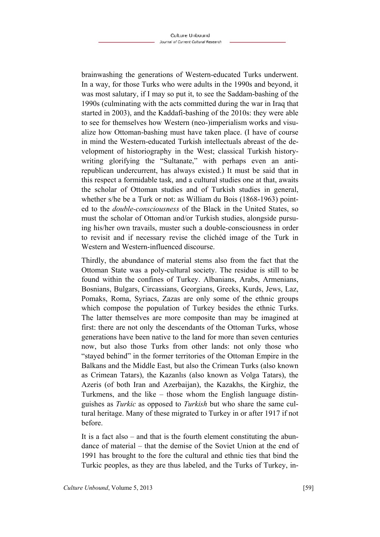brainwashing the generations of Western-educated Turks underwent. In a way, for those Turks who were adults in the 1990s and beyond, it was most salutary, if I may so put it, to see the Saddam-bashing of the 1990s (culminating with the acts committed during the war in Iraq that started in 2003), and the Kaddafi-bashing of the 2010s: they were able to see for themselves how Western (neo-)imperialism works and visualize how Ottoman-bashing must have taken place. (I have of course in mind the Western-educated Turkish intellectuals abreast of the development of historiography in the West; classical Turkish historywriting glorifying the "Sultanate," with perhaps even an antirepublican undercurrent, has always existed.) It must be said that in this respect a formidable task, and a cultural studies one at that, awaits the scholar of Ottoman studies and of Turkish studies in general, whether s/he be a Turk or not: as William du Bois (1868-1963) pointed to the *double-consciousness* of the Black in the United States, so must the scholar of Ottoman and/or Turkish studies, alongside pursuing his/her own travails, muster such a double-consciousness in order to revisit and if necessary revise the clichéd image of the Turk in Western and Western-influenced discourse.

Thirdly, the abundance of material stems also from the fact that the Ottoman State was a poly-cultural society. The residue is still to be found within the confines of Turkey. Albanians, Arabs, Armenians, Bosnians, Bulgars, Circassians, Georgians, Greeks, Kurds, Jews, Laz, Pomaks, Roma, Syriacs, Zazas are only some of the ethnic groups which compose the population of Turkey besides the ethnic Turks. The latter themselves are more composite than may be imagined at first: there are not only the descendants of the Ottoman Turks, whose generations have been native to the land for more than seven centuries now, but also those Turks from other lands: not only those who "stayed behind" in the former territories of the Ottoman Empire in the Balkans and the Middle East, but also the Crimean Turks (also known as Crimean Tatars), the Kazanlıs (also known as Volga Tatars), the Azeris (of both Iran and Azerbaijan), the Kazakhs, the Kirghiz, the Turkmens, and the like – those whom the English language distinguishes as *Turkic* as opposed to *Turkish* but who share the same cultural heritage. Many of these migrated to Turkey in or after 1917 if not before.

It is a fact also – and that is the fourth element constituting the abundance of material – that the demise of the Soviet Union at the end of 1991 has brought to the fore the cultural and ethnic ties that bind the Turkic peoples, as they are thus labeled, and the Turks of Turkey, in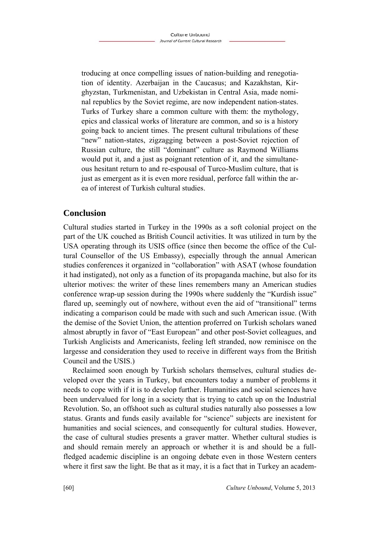troducing at once compelling issues of nation-building and renegotiation of identity. Azerbaijan in the Caucasus; and Kazakhstan, Kirghyzstan, Turkmenistan, and Uzbekistan in Central Asia, made nominal republics by the Soviet regime, are now independent nation-states. Turks of Turkey share a common culture with them: the mythology, epics and classical works of literature are common, and so is a history going back to ancient times. The present cultural tribulations of these "new" nation-states, zigzagging between a post-Soviet rejection of Russian culture, the still "dominant" culture as Raymond Williams would put it, and a just as poignant retention of it, and the simultaneous hesitant return to and re-espousal of Turco-Muslim culture, that is just as emergent as it is even more residual, perforce fall within the area of interest of Turkish cultural studies.

# **Conclusion**

Cultural studies started in Turkey in the 1990s as a soft colonial project on the part of the UK couched as British Council activities. It was utilized in turn by the USA operating through its USIS office (since then become the office of the Cultural Counsellor of the US Embassy), especially through the annual American studies conferences it organized in "collaboration" with ASAT (whose foundation it had instigated), not only as a function of its propaganda machine, but also for its ulterior motives: the writer of these lines remembers many an American studies conference wrap-up session during the 1990s where suddenly the "Kurdish issue" flared up, seemingly out of nowhere, without even the aid of "transitional" terms indicating a comparison could be made with such and such American issue. (With the demise of the Soviet Union, the attention proferred on Turkish scholars waned almost abruptly in favor of "East European" and other post-Soviet colleagues, and Turkish Anglicists and Americanists, feeling left stranded, now reminisce on the largesse and consideration they used to receive in different ways from the British Council and the USIS.)

Reclaimed soon enough by Turkish scholars themselves, cultural studies developed over the years in Turkey, but encounters today a number of problems it needs to cope with if it is to develop further. Humanities and social sciences have been undervalued for long in a society that is trying to catch up on the Industrial Revolution. So, an offshoot such as cultural studies naturally also possesses a low status. Grants and funds easily available for "science" subjects are inexistent for humanities and social sciences, and consequently for cultural studies. However, the case of cultural studies presents a graver matter. Whether cultural studies is and should remain merely an approach or whether it is and should be a fullfledged academic discipline is an ongoing debate even in those Western centers where it first saw the light. Be that as it may, it is a fact that in Turkey an academ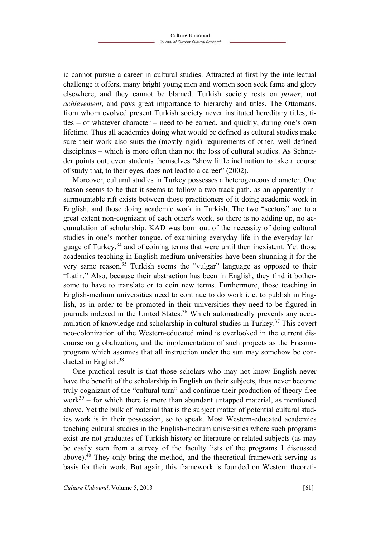ic cannot pursue a career in cultural studies. Attracted at first by the intellectual challenge it offers, many bright young men and women soon seek fame and glory elsewhere, and they cannot be blamed. Turkish society rests on *power*, not *achievement*, and pays great importance to hierarchy and titles. The Ottomans, from whom evolved present Turkish society never instituted hereditary titles; titles – of whatever character – need to be earned, and quickly, during one's own lifetime. Thus all academics doing what would be defined as cultural studies make sure their work also suits the (mostly rigid) requirements of other, well-defined disciplines – which is more often than not the loss of cultural studies. As Schneider points out, even students themselves "show little inclination to take a course of study that, to their eyes, does not lead to a career" (2002).

Moreover, cultural studies in Turkey possesses a heterogeneous character. One reason seems to be that it seems to follow a two-track path, as an apparently insurmountable rift exists between those practitioners of it doing academic work in English, and those doing academic work in Turkish. The two "sectors" are to a great extent non-cognizant of each other's work, so there is no adding up, no accumulation of scholarship. KAD was born out of the necessity of doing cultural studies in one's mother tongue, of examining everyday life in the everyday language of Turkey, $34$  and of coining terms that were until then inexistent. Yet those academics teaching in English-medium universities have been shunning it for the very same reason.<sup>35</sup> Turkish seems the "vulgar" language as opposed to their "Latin." Also, because their abstraction has been in English, they find it bothersome to have to translate or to coin new terms. Furthermore, those teaching in English-medium universities need to continue to do work i. e. to publish in English, as in order to be promoted in their universities they need to be figured in journals indexed in the United States.<sup>36</sup> Which automatically prevents any accumulation of knowledge and scholarship in cultural studies in Turkey.<sup>37</sup> This covert neo-colonization of the Western-educated mind is overlooked in the current discourse on globalization, and the implementation of such projects as the Erasmus program which assumes that all instruction under the sun may somehow be conducted in English.<sup>38</sup>

One practical result is that those scholars who may not know English never have the benefit of the scholarship in English on their subjects, thus never become truly cognizant of the "cultural turn" and continue their production of theory-free  $work<sup>39</sup> - for which there is more than abundant untapped material, as mentioned$ above. Yet the bulk of material that is the subject matter of potential cultural studies work is in their possession, so to speak. Most Western-educated academics teaching cultural studies in the English-medium universities where such programs exist are not graduates of Turkish history or literature or related subjects (as may be easily seen from a survey of the faculty lists of the programs I discussed above).40 They only bring the method, and the theoretical framework serving as basis for their work. But again, this framework is founded on Western theoreti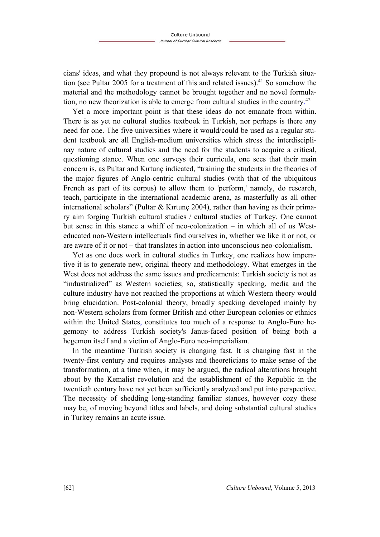cians' ideas, and what they propound is not always relevant to the Turkish situation (see Pultar 2005 for a treatment of this and related issues).<sup>41</sup> So somehow the material and the methodology cannot be brought together and no novel formulation, no new theorization is able to emerge from cultural studies in the country.<sup>42</sup>

Yet a more important point is that these ideas do not emanate from within. There is as yet no cultural studies textbook in Turkish, nor perhaps is there any need for one. The five universities where it would/could be used as a regular student textbook are all English-medium universities which stress the interdisciplinay nature of cultural studies and the need for the students to acquire a critical, questioning stance. When one surveys their curricula, one sees that their main concern is, as Pultar and Kırtunç indicated, "training the students in the theories of the major figures of Anglo-centric cultural studies (with that of the ubiquitous French as part of its corpus) to allow them to 'perform,' namely, do research, teach, participate in the international academic arena, as masterfully as all other international scholars" (Pultar & Kırtunc 2004), rather than having as their primary aim forging Turkish cultural studies / cultural studies of Turkey. One cannot but sense in this stance a whiff of neo-colonization – in which all of us Westeducated non-Western intellectuals find ourselves in, whether we like it or not, or are aware of it or not – that translates in action into unconscious neo-colonialism.

Yet as one does work in cultural studies in Turkey, one realizes how imperative it is to generate new, original theory and methodology. What emerges in the West does not address the same issues and predicaments: Turkish society is not as "industrialized" as Western societies; so, statistically speaking, media and the culture industry have not reached the proportions at which Western theory would bring elucidation. Post-colonial theory, broadly speaking developed mainly by non-Western scholars from former British and other European colonies or ethnics within the United States, constitutes too much of a response to Anglo-Euro hegemony to address Turkish society's Janus-faced position of being both a hegemon itself and a victim of Anglo-Euro neo-imperialism.

In the meantime Turkish society is changing fast. It is changing fast in the twenty-first century and requires analysts and theoreticians to make sense of the transformation, at a time when, it may be argued, the radical alterations brought about by the Kemalist revolution and the establishment of the Republic in the twentieth century have not yet been sufficiently analyzed and put into perspective. The necessity of shedding long-standing familiar stances, however cozy these may be, of moving beyond titles and labels, and doing substantial cultural studies in Turkey remains an acute issue.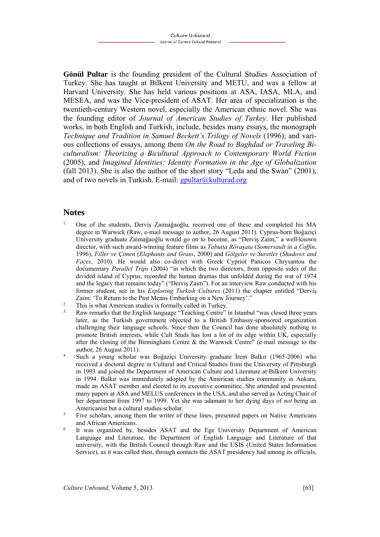**Gönül Pultar** is the founding president of the Cultural Studies Association of Turkey. She has taught at Bilkent University and METU, and was a fellow at Harvard University. She has held various positions at ASA, IASA, MLA, and MESEA, and was the Vice-president of ASAT. Her area of specialization is the twentieth-century Western novel, especially the American ethnic novel. She was the founding editor of *Journal of American Studies of Turkey*. Her published works, in both English and Turkish, include, besides many essays, the monograph *Technique and Tradition in Samuel Beckett's Trilogy of Novels* (1996); and various collections of essays, among them *On the Road to Baghdad or Traveling Biculturalism: Theorizing a Bicultural Approach to Contemporary World Fiction*  (2005), and *Imagined Identities: Identity Formation in the Age of Globalization* (fall 2013). She is also the author of the short story "Leda and the Swan" (2001), and of two novels in Turkish. E-mail:  $gputar@kulturad.org$ 

## **Notes**

- 1. One of the students, Derviş Zaimağaoğlu, received one of these and completed his MA degree in Warwick (Raw, e-mail message to author, 26 August 2011). Cyprus-born Boğaziçi University graduate Zaimağaoğlu would go on to become, as "Derviş Zaim," a well-known director, with such award-winning feature films as *Tabutta Rövaşata* (*Somersault in a Coffin*, 1996), *Filler ve Çimen* (*Elephants and Grass*, 2000) and *Gölgeler ve Suretler* (*Shadows and Faces*, 2010). He would also co-direct with Greek Cypriot Panicos Chrysantou the documentary *Parallel Trips* (2004) "in which the two directors, from opposite sides of the divided island of Cyprus, recorded the human dramas that unfolded during the war of 1974 and the legacy that remains today" ("Derviş Zaim"). For an interview Raw conducted with his former student, see in his *Exploring Turkish Cultures* (2011) the chapter entitled "Derviş Zaim: 'To Return to the Past Means Embarking on a New Journey'."<br>
<sup>2.</sup> This is what American studies is formally called in Turkey.<br>
<sup>3.</sup> Raw remarks that the English language "Teaching Centre" in Istanbul "was closed three
- 
- later, as the Turkish government objected to a British Embassy-sponsored organization challenging their language schools. Since then the Council has done absolutely nothing to promote British interests, while Cult Studs has lost a lot of its edge within UK, especially after the closing of the Birmingham Centre & the Warwick Centre" (e-mail message to the
- author, 26 August 2011). 4. Such a young scholar was Boğaziçi University graduate İrem Balkır (1965-2006) who received a doctoral degree in Cultural and Critical Studies from the University of Pittsburgh in 1993 and joined the Department of American Culture and Literature at Bilkent University in 1994. Balkır was immediately adopted by the American studies community in Ankara, made an ASAT member and elected to its executive committee. She attended and presented many papers at ASA and MELUS conferences in the USA, and also served as Acting Chair of her department from 1997 to 1999. Yet she was adamant to her dying days of *not* being an Americanist but a cultural studies scholar.<br><sup>5.</sup> Five scholars, among them the writer of these lines, presented papers on Native Americans
- and African Americans.<br><sup>6.</sup> It was organized by, besides ASAT and the Ege University Department of American
- Language and Literature, the Department of English Language and Literature of that university, with the British Council through Raw and the USIS (United States Information Service), as it was called then, through contacts the ASAT presidency had among its officials,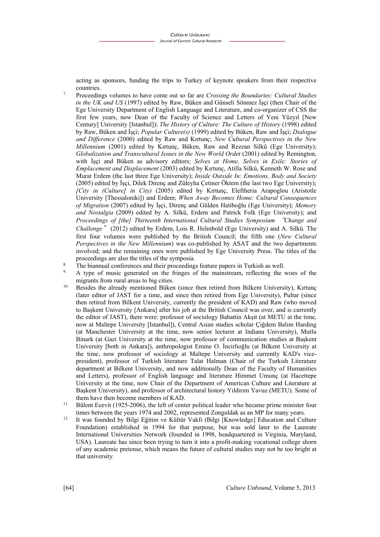acting as sponsors, funding the trips to Turkey of keynote speakers from their respective

- countries. 7. Proceedings volumes to have come out so far are *Crossing the Boundaries: Cultural Studies in the UK and US* (1997) edited by Raw, Büken and Günseli Sönmez İşçi (then Chair of the Ege University Department of English Language and Literature, and co-organizer of CSS the first few years, now Dean of the Faculty of Science and Letters of Yeni Yüzyıl [New Century] University [Istanbul]); *The History of Culture: The Culture of History* (1998) edited by Raw, Büken and İşçi; *Popular Culture(s)* (1999) edited by Büken, Raw and İşçi; *Dialogue and Difference* (2000) edited by Raw and Kırtunç; *New Cultural Perspectives in the New Millennium* (2001) edited by Kırtunç, Büken, Raw and Rezzan Silkü (Ege University); *Globalization and Transcultural Issues in the New World Orde*r (2001) edited by Remington, with İşçi and Büken as advisory editors; *Selves at Home, Selves in Exile: Stories of Emplacement and Displacement* (2003) edited by Kırtunç, Atilla Silkü, Kenneth W. Rose and Murat Erdem (the last three Ege University); *Inside Outside In: Emotions, Body and Society*  (2005) edited by İşçi, Dilek Direnç and Züleyha Çetiner Öktem (the last two Ege University); *[City in (Culture] in City)* (2005) edited by Kırtunç, Eleftheria Arapoglou (Aristotle University [Thessaloniki]) and Erdem; *When Away Becomes Home: Cultural Consequences of Migration* (2007) edited by İşçi, Direnç and Gülden Hatiboğlu (Ege University); *Memory and Nostalgia* (2009) edited by A. Silkü, Erdem and Patrick Folk (Ege University); and *Proceedings of [the] Thirteenth International Cultural Studies Symposium* "*Change and Challenge*" (2012) edited by Erdem, Lois R. Helmbold (Ege University) and A. Silkü. The first four volumes were published by the British Council; the fifth one (*New Cultural Perspectives in the New Millennium*) was co-published by ASAT and the two departments involved; and the remaining ones were published by Ege University Press. The titles of the proceedings are also the titles of the symposia.<br>8. The biannual conferences and their proceedings feature papers in Turkish as well.<br>9. A type of music generated on the fringes of the mainstream, reflecting the woes of th
- 

- migrants from rural areas to big cities.<br><sup>10.</sup> Besides the already mentioned Büken (since then retired from Bilkent University), Kırtunç (later editor of JAST for a time, and since then retired from Ege University), Pultar (since then retired from Bilkent University, currently the president of KAD) and Raw (who moved to Başkent University [Ankara] after his job at the British Council was over, and is currently the editor of JAST), there were: professor of sociology Bahattin Akşit (at METU at the time, now at Maltepe University [Istanbul]), Central Asian studies scholar Çiğdem Balım Harding (at Manchester University at the time, now senior lecturer at Indiana University), Mutlu Binark (at Gazi University at the time, now professor of communication studies at Başkent University [both in Ankara]), anthropologist Emine O. İncirlioğlu (at Bilkent University at the time, now professor of sociology at Maltepe University and currently KAD's vicepresident), professor of Turkish literature Talat Halman (Chair of the Turkish Literature department at Bilkent University, and now additionally Dean of the Faculty of Humanities and Letters), professor of English language and literature Himmet Umunç (at Hacettepe University at the time, now Chair of the Department of American Culture and Literature at Başkent University), and professor of architectural history Yıldırım Yavuz (METU). Some of
- them have then become members of KAD.<br><sup>11.</sup> Bülent Ecevit (1925-2006), the left of center political leader who became prime minister four
- times between the years 1974 and 2002, represented Zonguldak as an MP for many years.<br>It was founded by Bilgi Eğitim ve Kültür Vakfı (Bilgi [Knowledge] Education and Culture Foundation) established in 1994 for that purpose, but was sold later to the Laureate International Universities Network (founded in 1998, headquartered in Virginia, Maryland, USA). Laureate has since been trying to turn it into a profit-making vocational college shorn of any academic pretense, which means the future of cultural studies may not be too bright at that university.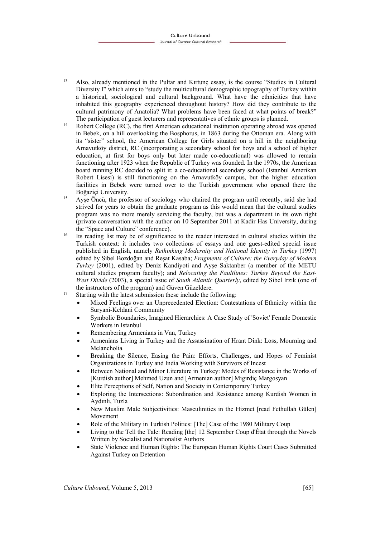- 13. Also, already mentioned in the Pultar and Kırtunç essay, is the course "Studies in Cultural Diversity I" which aims to "study the multicultural demographic topography of Turkey within a historical, sociological and cultural background. What have the ethnicities that have inhabited this geography experienced throughout history? How did they contribute to the cultural patrimony of Anatolia? What problems have been faced at what points of break?"
- The participation of guest lecturers and representatives of ethnic groups is planned.<br><sup>14.</sup> Robert College (RC), the first American educational institution operating abroad was opened in Bebek, on a hill overlooking the Bosphorus, in 1863 during the Ottoman era. Along with its "sister" school, the American College for Girls situated on a hill in the neighboring Arnavutköy district, RC (incorporating a secondary school for boys and a school of higher education, at first for boys only but later made co-educational) was allowed to remain functioning after 1923 when the Republic of Turkey was founded. In the 1970s, the American board running RC decided to split it: a co-educational secondary school (Istanbul Amerikan Robert Lisesi) is still functioning on the Arnavutköy campus, but the higher education facilities in Bebek were turned over to the Turkish government who opened there the Boğaziçi University.<br>
<sup>15.</sup> Ayşe Öncü, the professor of sociology who chaired the program until recently, said she had
- strived for years to obtain the graduate program as this would mean that the cultural studies program was no more merely servicing the faculty, but was a department in its own right (private conversation with the author on 10 September 2011 at Kadir Has University, during the "Space and Culture" conference).<br><sup>16</sup> Its reading list may be of significance to the reader interested in cultural studies within the
- Turkish context: it includes two collections of essays and one guest-edited special issue published in English, namely *Rethinking Modernity and National Identity in Turkey* (1997) edited by Sibel Bozdoğan and Reşat Kasaba; *Fragments of Culture: the Everyday of Modern Turkey* (2001), edited by Deniz Kandiyoti and Ayşe Saktanber (a member of the METU cultural studies program faculty); and *Relocating the Faultlines: Turkey Beyond the East-West Divide* (2003), a special issue of *South Atlantic Quarterly*, edited by Sibel Irzık (one of
- the instructors of the program) and Güven Güzeldere.<br><sup>17</sup> Starting with the latest submission these include the following:
	- Mixed Feelings over an Unprecedented Election: Contestations of Ethnicity within the Suryani-Keldani Community
	- Symbolic Boundaries, Imagined Hierarchies: A Case Study of 'Soviet' Female Domestic Workers in Istanbul
	- Remembering Armenians in Van, Turkey
	- Armenians Living in Turkey and the Assassination of Hrant Dink: Loss, Mourning and Melancholia
	- Breaking the Silence, Easing the Pain: Efforts, Challenges, and Hopes of Feminist Organizations in Turkey and India Working with Survivors of Incest
	- Between National and Minor Literature in Turkey: Modes of Resistance in the Works of [Kurdish author] Mehmed Uzun and [Armenian author] Mıgırdiç Margosyan
	- Elite Perceptions of Self, Nation and Society in Contemporary Turkey
	- Exploring the Intersections: Subordination and Resistance among Kurdish Women in Aydınlı, Tuzla
	- New Muslim Male Subjectivities: Masculinities in the Hizmet [read Fethullah Gülen] Movement
	- Role of the Military in Turkish Politics: [The] Case of the 1980 Military Coup
	- Living to the Tell the Tale: Reading [the] 12 September Coup d'État through the Novels Written by Socialist and Nationalist Authors
	- State Violence and Human Rights: The European Human Rights Court Cases Submitted Against Turkey on Detention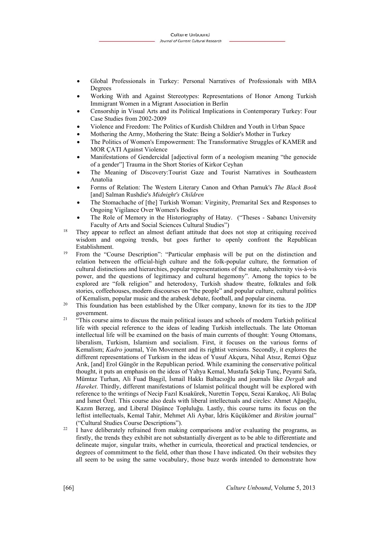- Global Professionals in Turkey: Personal Narratives of Professionals with MBA Degrees
- Working With and Against Stereotypes: Representations of Honor Among Turkish Immigrant Women in a Migrant Association in Berlin
- Censorship in Visual Arts and its Political Implications in Contemporary Turkey: Four Case Studies from 2002-2009
- Violence and Freedom: The Politics of Kurdish Children and Youth in Urban Space
- Mothering the Army, Mothering the State: Being a Soldier's Mother in Turkey
- The Politics of Women's Empowerment: The Transformative Struggles of KAMER and MOR ÇATI Against Violence
- Manifestations of Gendercidal [adjectival form of a neologism meaning "the genocide of a gender"] Trauma in the Short Stories of Kirkor Ceyhan
- The Meaning of Discovery:Tourist Gaze and Tourist Narratives in Southeastern Anatolia
- Forms of Relation: The Western Literary Canon and Orhan Pamuk's *The Black Book* [and] Salman Rushdie's *Midnight's Children*
- The Stomachache of [the] Turkish Woman: Virginity, Premarital Sex and Responses to Ongoing Vigilance Over Women's Bodies
- The Role of Memory in the Historiography of Hatay. ("Theses Sabancı University
- Faculty of Arts and Social Sciences Cultural Studies")<br><sup>18</sup> They appear to reflect an almost defiant attitude that does not stop at critiquing received wisdom and ongoing trends, but goes further to openly confront the Republican Establishment.<br><sup>19</sup> From the "Course Description": "Particular emphasis will be put on the distinction and
- relation between the official-high culture and the folk-popular culture, the formation of cultural distinctions and hierarchies, popular representations of the state, subalternity vis-à-vis power, and the questions of legitimacy and cultural hegemony". Among the topics to be explored are "folk religion" and heterodoxy, Turkish shadow theatre, folktales and folk stories, coffeehouses, modern discourses on "the people" and popular culture, cultural politics
- of Kemalism, popular music and the arabesk debate, football, and popular cinema. 20 This foundation has been established by the Ülker company, known for its ties to the JDP government.<br><sup>21</sup> "This course aims to discuss the main political issues and schools of modern Turkish political
- life with special reference to the ideas of leading Turkish intellectuals. The late Ottoman intellectual life will be examined on the basis of main currents of thought: Young Ottomans, liberalism, Turkism, Islamism and socialism. First, it focuses on the various forms of Kemalism; *Kadro* journal, Yön Movement and its rightist versions. Secondly, it explores the different representations of Turkism in the ideas of Yusuf Akçura, Nihal Atsız, Remzi Oğuz Arık, [and] Erol Güngör in the Republican period. While examining the conservative political thought, it puts an emphasis on the ideas of Yahya Kemal, Mustafa Şekip Tunç, Peyami Safa, Mümtaz Turhan, Ali Fuad Başgil, İsmail Hakkı Baltacıoğlu and journals like *Dergah* and *Hareket*. Thirdly, different manifestations of Islamist political thought will be explored with reference to the writings of Necip Fazıl Kısakürek, Nurettin Topçu, Sezai Karakoç, Ali Bulaç and İsmet Özel. This course also deals with liberal intellectuals and circles: Ahmet Ağaoğlu, Kazım Berzeg, and Liberal Düşünce Topluluğu. Lastly, this course turns its focus on the leftist intellectuals, Kemal Tahir, Mehmet Ali Aybar, İdris Küçükömer and *Birikim* journal" ("Cultural Studies Course Descriptions"). 22 I have deliberately refrained from making comparisons and/or evaluating the programs, as
- firstly, the trends they exhibit are not substantially divergent as to be able to differentiate and delineate major, singular traits, whether in curricula, theoretical and practical tendencies, or degrees of commitment to the field, other than those I have indicated. On their websites they all seem to be using the same vocabulary, those buzz words intended to demonstrate how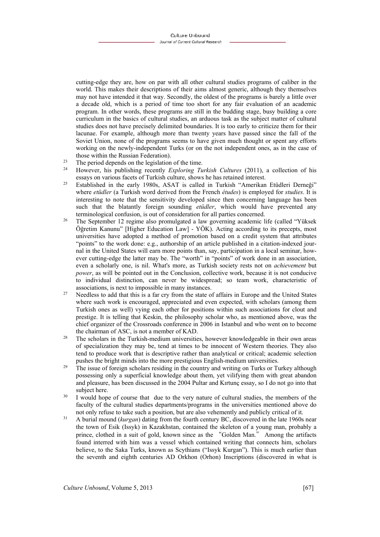cutting-edge they are, how on par with all other cultural studies programs of caliber in the world. This makes their descriptions of their aims almost generic, although they themselves may not have intended it that way. Secondly, the oldest of the programs is barely a little over a decade old, which is a period of time too short for any fair evaluation of an academic program. In other words, these programs are still in the budding stage, busy building a core curriculum in the basics of cultural studies, an arduous task as the subject matter of cultural studies does not have precisely delimited boundaries. It is too early to criticize them for their lacunae. For example, although more than twenty years have passed since the fall of the Soviet Union, none of the programs seems to have given much thought or spent any efforts working on the newly-independent Turks (or on the not independent ones, as in the case of

- those within the Russian Federation).<br><sup>23</sup> The period depends on the legislation of the time.<br><sup>24</sup> House this multipliers recently Eurlaring Tu
- 24 However, his publishing recently *Exploring Turkish Cultures* (2011), a collection of his
- essays on various facets of Turkish culture, shows he has retained interest. 25 Established in the early 1980s, ASAT is called in Turkish "Amerikan Etüdleri Derneği" where *etüdler* (a Turkish word derived from the French *études*) is employed for *studies*. It is interesting to note that the sensitivity developed since then concerning language has been such that the blatantly foreign sounding *etüdler*, which would have prevented any terminological confusion, is out of consideration for all parties concerned. 26 The September 12 regime also promulgated a law governing academic life (called "Yüksek
- Öğretim Kanunu" [Higher Education Law] YÖK). Acting according to its precepts, most universities have adopted a method of promotion based on a credit system that attributes "points" to the work done: e.g., authorship of an article published in a citation-indexed journal in the United States will earn more points than, say, participation in a local seminar, however cutting-edge the latter may be. The "worth" in "points" of work done in an association, even a scholarly one, is nil. What's more, as Turkish society rests not on *achievement* but *power*, as will be pointed out in the Conclusion, collective work, because it is not conducive to individual distinction, can never be widespread; so team work, characteristic of
- associations, is next to impossible in many instances.<br><sup>27</sup> Needless to add that this is a far cry from the state of affairs in Europe and the United States where such work is encouraged, appreciated and even expected, with scholars (among them Turkish ones as well) vying each other for positions within such associations for clout and prestige. It is telling that Keskin, the philosophy scholar who, as mentioned above, was the chief organizer of the Crossroads conference in 2006 in Istanbul and who went on to become
- the chairman of ASC, is not a member of KAD.<br><sup>28</sup> The scholars in the Turkish-medium universities, however knowledgeable in their own areas of specialization they may be, tend at times to be innocent of Western theories. They also tend to produce work that is descriptive rather than analytical or critical; academic selection
- pushes the bright minds into the more prestigious English-medium universities.<br><sup>29</sup> The issue of foreign scholars residing in the country and writing on Turks or Turkey although possessing only a superficial knowledge about them, yet vilifying them with great abandon and pleasure, has been discussed in the 2004 Pultar and Kırtunç essay, so I do not go into that subject here.<br><sup>30</sup> I would hope of course that due to the very nature of cultural studies, the members of the
- faculty of the cultural studies departments/programs in the universities mentioned above do
- not only refuse to take such a position, but are also vehemently and publicly critical of it.<br><sup>31</sup> A burial mound (*kurgan*) dating from the fourth century BC, discovered in the late 1960s near the town of Esik (Issyk) in Kazakhstan, contained the skeleton of a young man, probably a prince, clothed in a suit of gold, known since as the "Golden Man." Among the artifacts found interred with him was a vessel which contained writing that connects him, scholars believe, to the Saka Turks, known as Scythians ("Issyk Kurgan"). This is much earlier than the seventh and eighth centuries AD Orkhon (Orhon) Inscriptions (discovered in what is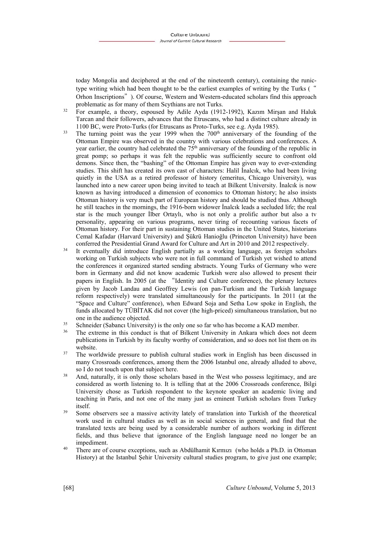today Mongolia and deciphered at the end of the nineteenth century), containing the runictype writing which had been thought to be the earliest examples of writing by the Turks (" Orhon Inscriptions"). Of course, Western and Western-educated scholars find this approach

- problematic as for many of them Scythians are not Turks.<br><sup>32</sup> For example, a theory, espoused by Adile Ayda (1912-1992), Kazım Mirşan and Haluk Tarcan and their followers, advances that the Etruscans, who had a distinct culture already in
- 1100 BC, were Proto-Turks (for Etruscans as Proto-Turks, see e.g. Ayda 1985).<br><sup>33</sup> The turning point was the year 1999 when the 700<sup>th</sup> anniversary of the founding of the Ottoman Empire was observed in the country with various celebrations and conferences. A year earlier, the country had celebrated the  $75<sup>th</sup>$  anniversary of the founding of the republic in great pomp; so perhaps it was felt the republic was sufficiently secure to confront old demons. Since then, the "bashing" of the Ottoman Empire has given way to ever-extending studies. This shift has created its own cast of characters: Halil İnalcık, who had been living quietly in the USA as a retired professor of history (emeritus, Chicago University), was launched into a new career upon being invited to teach at Bilkent University. İnalcık is now known as having introduced a dimension of economics to Ottoman history; he also insists Ottoman history is very much part of European history and should be studied thus. Although he still teaches in the mornings, the 1916-born widower İnalcık leads a secluded life; the real star is the much younger İlber Ortaylı, who is not only a prolific author but also a tv personality, appearing on various programs, never tiring of recounting various facets of Ottoman history. For their part in sustaining Ottoman studies in the United States, historians Cemal Kafadar (Harvard University) and Şükrü Hanioğlu (Princeton University) have been
- conferred the Presidential Grand Award for Culture and Art in 2010 and 2012 respectively.<br><sup>34</sup> It eventually did introduce English partially as a working language, as foreign scholars working on Turkish subjects who were not in full command of Turkish yet wished to attend the conferences it organized started sending abstracts. Young Turks of Germany who were born in Germany and did not know academic Turkish were also allowed to present their papers in English. In 2005 (at the "Identity and Culture conference), the plenary lectures given by Jacob Landau and Geoffrey Lewis (on pan-Turkism and the Turkish language reform respectively) were translated simultaneously for the participants. In 2011 (at the "Space and Culture" conference), when Edward Soja and Setha Low spoke in English, the funds allocated by TÜBİTAK did not cover (the high-priced) simultaneous translation, but no
- one in the audience objected.<br>35 Schneider (Sabancı University) is the only one so far who has become a KAD member.<br>36 The extreme in this conduct is that of Bilkent University in Ankara which does not deem
- publications in Turkish by its faculty worthy of consideration, and so does not list them on its website.<br><sup>37</sup> The worldwide pressure to publish cultural studies work in English has been discussed in
- many Crossroads conferences, among them the 2006 Istanbul one, already alluded to above, so I do not touch upon that subject here.<br><sup>38</sup> And, naturally, it is only those scholars based in the West who possess legitimacy, and are
- considered as worth listening to. It is telling that at the 2006 Crossroads conference, Bilgi University chose as Turkish respondent to the keynote speaker an academic living and teaching in Paris, and not one of the many just as eminent Turkish scholars from Turkey
- itself.<br>Some observers see a massive activity lately of translation into Turkish of the theoretical work used in cultural studies as well as in social sciences in general, and find that the translated texts are being used by a considerable number of authors working in different fields, and thus believe that ignorance of the English language need no longer be an impediment.<br><sup>40</sup> There are of course exceptions, such as Abdülhamit Kırmızı (who holds a Ph.D. in Ottoman
- History) at the Istanbul Şehir University cultural studies program, to give just one example;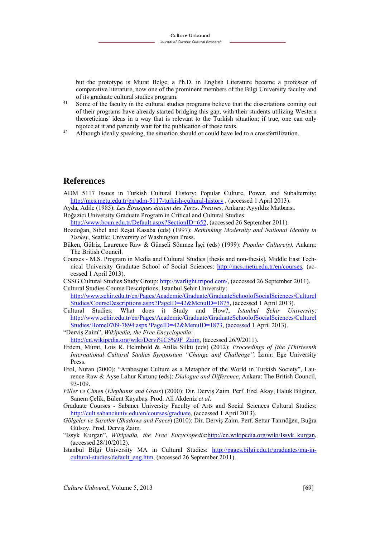but the prototype is Murat Belge, a Ph.D. in English Literature become a professor of comparative literature, now one of the prominent members of the Bilgi University faculty and of its graduate cultural studies program.<br><sup>41</sup> Some of the faculty in the cultural studies programs believe that the dissertations coming out

- of their programs have already started bridging this gap, with their students utilizing Western theoreticians' ideas in a way that is relevant to the Turkish situation; if true, one can only rejoice at it and patiently wait for the publication of these texts. 42 Although ideally speaking, the situation should or could have led to a crossfertilization.
- 

## **References**

- ADM 5117 Issues in Turkish Cultural History: Popular Culture, Power, and Subalternity: http://mcs.metu.edu.tr/en/adm-5117-turkish-cultural-history , (accessed 1 April 2013).
- Ayda, Adile (1985): *Les Étrusques étaient des Turcs*. *Preuves*, Ankara: Ayyıldız Matbaası.
- Boğaziçi University Graduate Program in Critical and Cultural Studies: http://www.boun.edu.tr/Default.aspx?SectionID=652, (accessed 26 September 2011).
- Bozdoğan, Sibel and Reşat Kasaba (eds) (1997): *Rethinking Modernity and National Identity in Turkey*, Seattle: University of Washington Press.
- Büken, Gülriz, Laurence Raw & Günseli Sönmez İşçi (eds) (1999): *Popular Culture(s),* Ankara: The British Council.
- Courses M.S. Program in Media and Cultural Studies [thesis and non-thesis], Middle East Technical University Gradutae School of Social Sciences: http://mcs.metu.edu.tr/en/courses, (accessed 1 April 2013).
- CSSG Cultural Studies Study Group: http://warlight.tripod.com/, (accessed 26 September 2011).
- Cultural Studies Course Descriptions, Istanbul Şehir University: http://www.sehir.edu.tr/en/Pages/Academic/Graduate/GraduateSchoolofSocialSciences/Culturel Studies/CourseDescriptions.aspx?PageID=42&MenuID=1875, (accessed 1 April 2013).
- Cultural Studies: What does it Study and How?, *Istanbul Şehir Universit*y: http://www.sehir.edu.tr/en/Pages/Academic/Graduate/GraduateSchoolofSocialSciences/Culturel Studies/Home0709-7894.aspx?PageID=42&MenuID=1873, (accessed 1 April 2013).

"Derviş Zaim", *Wikipedia, the Free Encyclopedia*:

http://en.wikipedia.org/wiki/Dervi%C5%9F\_Zaim, (accessed 26/9/2011).

- Erdem, Murat, Lois R. Helmbold & Atilla Silkü (eds) (2012): *Proceedings of [the ]Thirteenth International Cultural Studies Symposium "Change and Challenge",* İzmir: Ege University Press.
- Erol, Nuran (2000): "Arabesque Culture as a Metaphor of the World in Turkish Society", Laurence Raw & Ayşe Lahur Kırtunç (eds): *Dialogue and Difference*, Ankara: The British Council, 93-109.
- *Filler ve Çimen* (*Elephants and Grass*) (2000): Dir. Derviş Zaim. Perf. Ezel Akay, Haluk Bilginer, Sanem Çelik, Bülent Kayabaş. Prod. Ali Akdeniz *et al*.
- Graduate Courses Sabancı University Faculty of Arts and Social Sciences Cultural Studies: http://cult.sabanciuniv.edu/en/courses/graduate, (accessed 1 April 2013).
- *Gölgeler ve Suretler* (*Shadows and Faces*) (2010): Dir. Derviş Zaim. Perf. Settar Tanrıöğen, Buğra Gülsoy. Prod. Derviş Zaim.
- "Issyk Kurgan", *Wikipedia, the Free Encyclopedia*:http://en.wikipedia.org/wiki/Issyk\_kurgan, (accessed 28/10/2012).
- Istanbul Bilgi University MA in Cultural Studies: http://pages.bilgi.edu.tr/graduates/ma-incultural-studies/default\_eng.htm, (accessed 26 September 2011).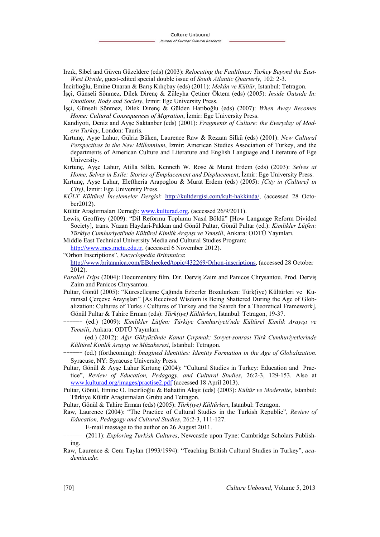Irzık, Sibel and Güven Güzeldere (eds) (2003): *Relocating the Faultlines: Turkey Beyond the East-West Divide*, guest-edited special double issue of *South Atlantic Quarterly,* 102: 2-3.

İncirlioğlu, Emine Onaran & Barış Kılıçbay (eds) (2011): *Mekân ve Kültür*, Istanbul: Tetragon.

- İşçi, Günseli Sönmez, Dilek Direnç & Züleyha Çetiner Öktem (eds) (2005): *Inside Outside In: Emotions, Body and Society*, İzmir: Ege University Press.
- İşçi, Günseli Sönmez, Dilek Direnç & Gülden Hatiboğlu (eds) (2007): *When Away Becomes Home: Cultural Consequences of Migration*, İzmir: Ege University Press.
- Kandiyoti, Deniz and Ayşe Saktanber (eds) (2001): *Fragments of Culture: the Everyday of Modern Turkey*, London: Tauris.
- Kırtunç, Ayşe Lahur, Gülriz Büken, Laurence Raw & Rezzan Silkü (eds) (2001): *New Cultural Perspectives in the New Millennium*, İzmir: American Studies Association of Turkey, and the departments of American Culture and Literature and English Language and Literature of Ege University.
- Kırtunç, Ayşe Lahur, Atilla Silkü, Kenneth W. Rose & Murat Erdem (eds) (2003): *Selves at Home, Selves in Exile: Stories of Emplacement and Displacement*, İzmir: Ege University Press.
- Kırtunç, Ayşe Lahur, Eleftheria Arapoglou & Murat Erdem (eds) (2005): *[City in (Culture] in City)*, İzmir: Ege University Press.
- *KÜLT Kültürel İncelemeler Dergisi*: http://kultdergisi.com/kult-hakkinda/, (accessed 28 October2012).
- Kültür Araştırmaları Derneği: www.kulturad.org, (accessed 26/9/2011).
- Lewis, Geoffrey (2009): "Dil Reformu Toplumu Nasıl Böldü" [How Language Reform Divided Society], trans. Nazan Haydari-Pakkan and Gönül Pultar, Gönül Pultar (ed.): *Kimlikler Lütfen: Türkiye Cumhuriyeti'nde Kültürel Kimlik Arayışı ve Temsili*, Ankara: ODTÜ Yayınları.
- Middle East Technical University Media and Cultural Studies Program:
- http://www.mcs.metu.edu.tr, (accessed 6 November 2012).

"Orhon Inscriptions", *Encyclopedia Britannica*: http://www.britannica.com/EBchecked/topic/432269/Orhon-inscriptions, (accessed 28 October 2012).

- *Parallel Trips* (2004): Documentary film. Dir. Derviş Zaim and Panicos Chrysantou. Prod. Derviş Zaim and Panicos Chrysantou.
- Pultar, Gönül (2005): "Küreselleşme Çağında Ezberler Bozulurken: Türk(iye) Kültürleri ve Kuramsal Çerçeve Arayışları" [As Received Wisdom is Being Shattered During the Age of Globalization: Cultures of Turks / Cultures of Turkey and the Search for a Theoretical Framework], Gönül Pultar & Tahire Erman (eds): *Türk(iye) Kültürleri*, Istanbul: Tetragon, 19-37.
	- ------ (ed.) (2009): *Kimlikler Lütfen: Türkiye Cumhuriyeti'nde Kültürel Kimlik Arayışı ve Temsili*, Ankara: ODTÜ Yayınları.
- $-$  (ed.) (2012): *Ağır Gökyüzünde Kanat Çırpmak: Sovyet-sonrası Türk Cumhuriyetlerinde Kültürel Kimlik Arayışı ve Müzakeresi*, Istanbul: Tetragon.
- ------ (ed.) (forthcoming): *Imagined Identities: Identity Formation in the Age of Globalization*. Syracuse, NY: Syracuse University Press.
- Pultar, Gönül & Ayşe Lahur Kırtunç (2004): "Cultural Studies in Turkey: Education and Practice", *Review of Education, Pedagogy, and Cultural Studies*, 26:2-3, 129-153. Also at www.kulturad.org/images/practise2.pdf (accessed 18 April 2013).
- Pultar, Gönül, Emine O. İncirlioğlu & Bahattin Akşit (eds) (2003): *Kültür ve Modernite*, Istanbul: Türkiye Kültür Araştırmaları Grubu and Tetragon.

Pultar, Gönül & Tahire Erman (eds) (2005): *Türk(iye) Kültürleri*, Istanbul: Tetragon.

Raw, Laurence (2004): "The Practice of Cultural Studies in the Turkish Republic", *Review of Education, Pedagogy and Cultural Studies*, 26:2-3, 111-127.

-- E-mail message to the author on 26 August 2011.

- ------ (2011): *Exploring Turkish Cultures*, Newcastle upon Tyne: Cambridge Scholars Publishing.
- Raw, Laurence & Cem Taylan (1993/1994): "Teaching British Cultural Studies in Turkey", *academia.edu*: